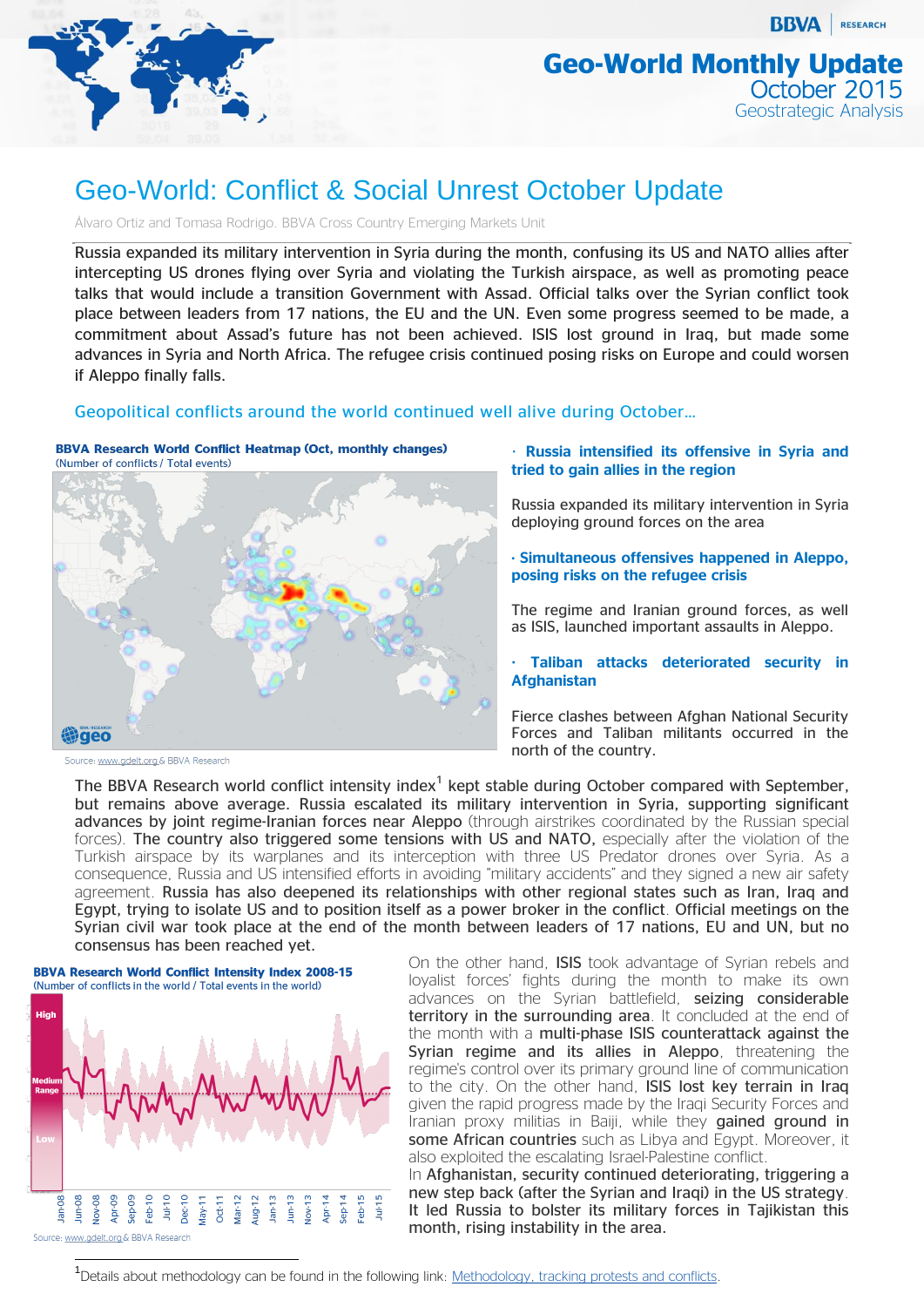

**BBVA** RESEARCH

# Geo-World: Conflict & Social Unrest October Update

Álvaro Ortiz and Tomasa Rodrigo. BBVA Cross Country Emerging Markets Unit

Russia expanded its military intervention in Syria during the month, confusing its US and NATO allies after intercepting US drones flying over Syria and violating the Turkish airspace, as well as promoting peace talks that would include a transition Government with Assad. Official talks over the Syrian conflict took place between leaders from 17 nations, the EU and the UN. Even some progress seemed to be made, a commitment about Assad's future has not been achieved. ISIS lost ground in Iraq, but made some advances in Syria and North Africa. The refugee crisis continued posing risks on Europe and could worsen if Aleppo finally falls.

### Geopolitical conflicts around the world continued well alive during October…





· **Russia intensified its offensive in Syria and tried to gain allies in the region**

Russia expanded its military intervention in Syria deploying ground forces on the area

**· Simultaneous offensives happened in Aleppo, posing risks on the refugee crisis**

The regime and Iranian ground forces, as well as ISIS, launched important assaults in Aleppo.

**· Taliban attacks deteriorated security in Afghanistan**

Fierce clashes between Afghan National Security Forces and Taliban militants occurred in the north of the country.

The BBVA Research world conflict intensity index<sup>1</sup> kept stable during October compared with September, but remains above average. Russia escalated its military intervention in Syria, supporting significant advances by joint regime-Iranian forces near Aleppo (through airstrikes coordinated by the Russian special forces). The country also triggered some tensions with US and NATO, especially after the violation of the Turkish airspace by its warplanes and its interception with three US Predator drones over Syria. As a consequence, Russia and US intensified efforts in avoiding "military accidents" and they signed a new air safety agreement. Russia has also deepened its relationships with other regional states such as Iran, Iraq and Egypt, trying to isolate US and to position itself as a power broker in the conflict. Official meetings on the Syrian civil war took place at the end of the month between leaders of 17 nations, EU and UN, but no consensus has been reached yet.



On the other hand, ISIS took advantage of Syrian rebels and loyalist forces' fights during the month to make its own advances on the Syrian battlefield, seizing considerable territory in the surrounding area. It concluded at the end of the month with a multi-phase ISIS counterattack against the Syrian regime and its allies in Aleppo, threatening the regime's control over its primary ground line of communication to the city. On the other hand, ISIS lost key terrain in Iraq given the rapid progress made by the Iraqi Security Forces and Iranian proxy militias in Baiji, while they gained ground in some African countries such as Libya and Egypt. Moreover, it also exploited the escalating Israel-Palestine conflict.

In Afghanistan, security continued deteriorating, triggering a new step back (after the Syrian and Iraqi) in the US strategy. It led Russia to bolster its military forces in Tajikistan this month, rising instability in the area.

<sup>1</sup>Details about methodology can be found in the following link: [Methodology, tracking protests and conflicts.](https://www.bbvaresearch.com/en/methodology-tracking-protests-and-conflicts-2/)

Source: www.gdelt.org & BBVA Research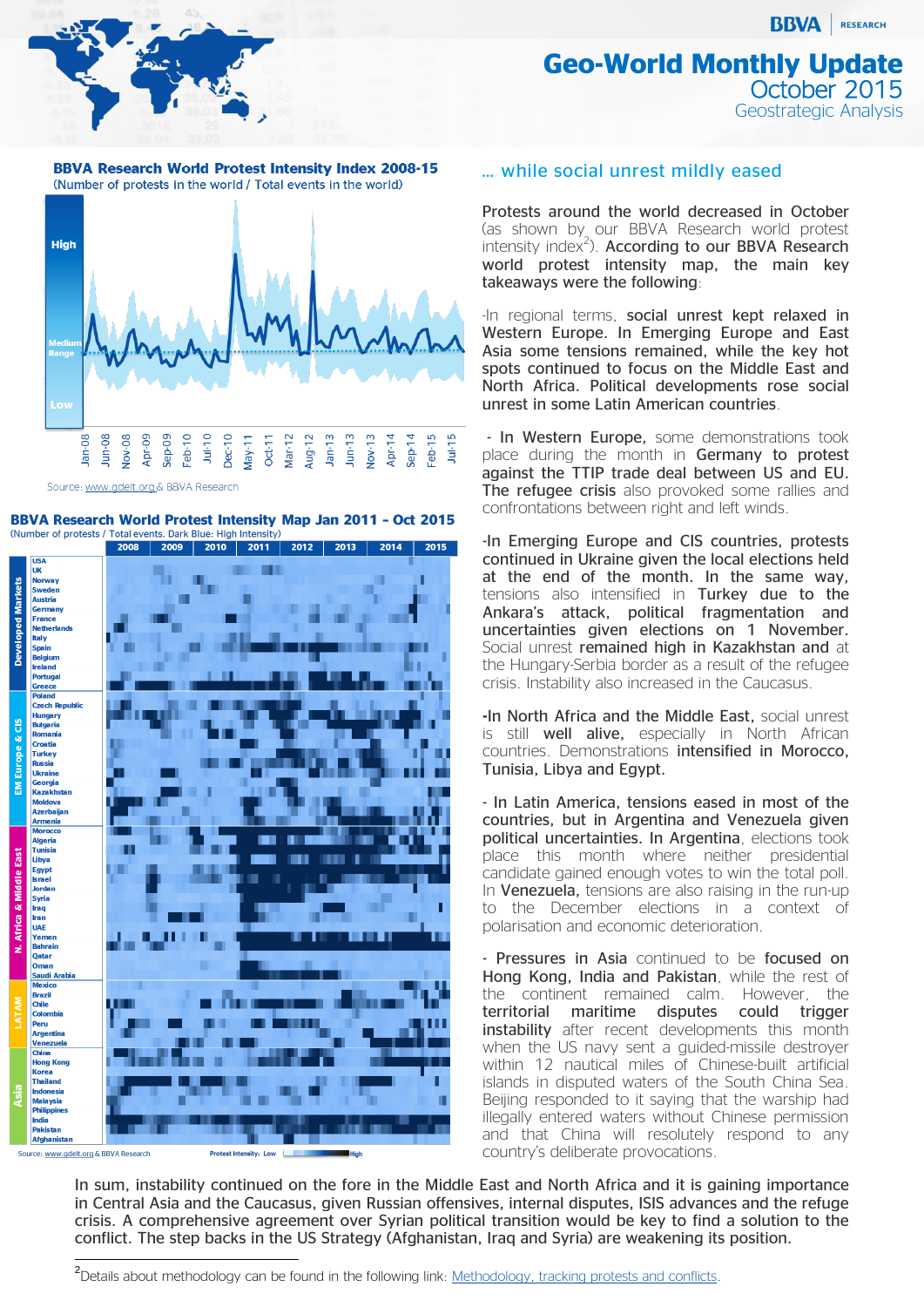**BBVA** RESEARCH

## **Geo-World Monthly Update Decober 2015** Geostrategic Analysis

**BBVA Research World Protest Intensity Index 2008-15** (Number of protests in the world / Total events in the world)



Source: www.gdelt.org & BBVA Research





### … while social unrest mildly eased

Protests around the world decreased in October (as shown by our BBVA Research world protest intensity index $^2$ ). According to our BBVA Research world protest intensity map, the main key takeaways were the following:

-In regional terms, social unrest kept relaxed in Western Europe. In Emerging Europe and East Asia some tensions remained, while the key hot spots continued to focus on the Middle East and North Africa. Political developments rose social unrest in some Latin American countries.

- In Western Europe, some demonstrations took place during the month in Germany to protest against the TTIP trade deal between US and EU. The refugee crisis also provoked some rallies and confrontations between right and left winds.

-In Emerging Europe and CIS countries, protests continued in Ukraine given the local elections held at the end of the month. In the same way, tensions also intensified in Turkey due to the Ankara's attack, political fragmentation and uncertainties given elections on 1 November. Social unrest remained high in Kazakhstan and at the Hungary-Serbia border as a result of the refugee crisis. Instability also increased in the Caucasus.

**-**In North Africa and the Middle East, social unrest is still well alive, especially in North African countries. Demonstrations intensified in Morocco, Tunisia, Libya and Egypt.

- In Latin America, tensions eased in most of the countries, but in Argentina and Venezuela given political uncertainties. In Argentina, elections took place this month where neither presidential candidate gained enough votes to win the total poll. In Venezuela, tensions are also raising in the run-up to the December elections in a context of polarisation and economic deterioration.

- Pressures in Asia continued to be focused on Hong Kong, India and Pakistan, while the rest of the continent remained calm. However, the territorial maritime disputes could trigger instability after recent developments this month when the US navy sent a guided-missile destroyer within 12 nautical miles of Chinese-built artificial islands in disputed waters of the South China Sea. Beijing responded to it saying that the warship had illegally entered waters without Chinese permission and that China will resolutely respond to any country's deliberate provocations.

In sum, instability continued on the fore in the Middle East and North Africa and it is gaining importance in Central Asia and the Caucasus, given Russian offensives, internal disputes, ISIS advances and the refuge crisis. A comprehensive agreement over Syrian political transition would be key to find a solution to the conflict. The step backs in the US Strategy (Afghanistan, Iraq and Syria) are weakening its position.

<sup>&</sup>lt;u>-</u><br><sup>2</sup>Details about methodology can be found in the following link: <u>Methodology, tracking protests and conflicts</u>.